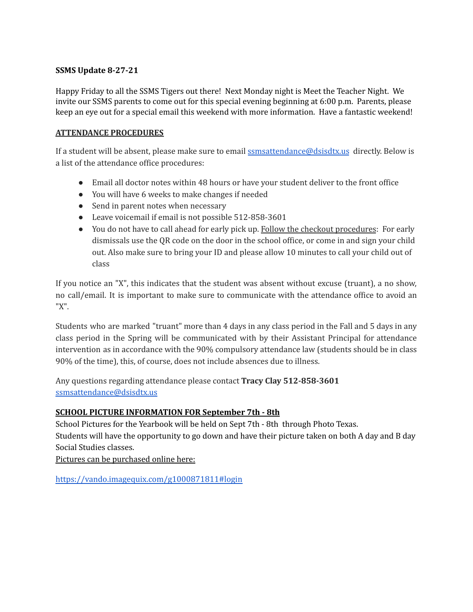### **SSMS Update 8-27-21**

Happy Friday to all the SSMS Tigers out there! Next Monday night is Meet the Teacher Night. We invite our SSMS parents to come out for this special evening beginning at 6:00 p.m. Parents, please keep an eye out for a special email this weekend with more information. Have a fantastic weekend!

### **ATTENDANCE PROCEDURES**

If a student will be absent, please make sure to email **[ssmsattendance@dsisdtx.us](mailto:ssmsattendance@dsisdtx.us)** directly. Below is a list of the attendance office procedures:

- Email all doctor notes within 48 hours or have your student deliver to the front office
- You will have 6 weeks to make changes if needed
- Send in parent notes when necessary
- Leave voicemail if email is not possible 512-858-3601
- You do not have to call ahead for early pick up. Follow the checkout procedures: For early dismissals use the QR code on the door in the school office, or come in and sign your child out. Also make sure to bring your ID and please allow 10 minutes to call your child out of class

If you notice an "X", this indicates that the student was absent without excuse (truant), a no show, no call/email. It is important to make sure to communicate with the attendance office to avoid an "X".

Students who are marked "truant" more than 4 days in any class period in the Fall and 5 days in any class period in the Spring will be communicated with by their Assistant Principal for attendance intervention as in accordance with the 90% compulsory attendance law (students should be in class 90% of the time), this, of course, does not include absences due to illness.

Any questions regarding attendance please contact **Tracy Clay 512-858-3601** [ssmsattendance@dsisdtx.us](mailto:ssmsattendance@dsisdtx.us)

# **SCHOOL PICTURE INFORMATION FOR September 7th - 8th**

School Pictures for the Yearbook will be held on Sept 7th - 8th through Photo Texas. Students will have the opportunity to go down and have their picture taken on both A day and B day Social Studies classes.

Pictures can be purchased online here:

<https://vando.imagequix.com/g1000871811#login>